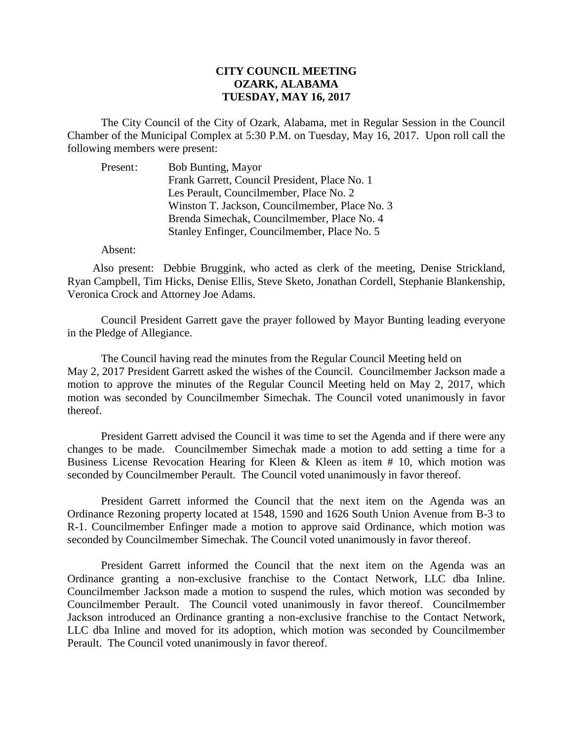## **CITY COUNCIL MEETING OZARK, ALABAMA TUESDAY, MAY 16, 2017**

The City Council of the City of Ozark, Alabama, met in Regular Session in the Council Chamber of the Municipal Complex at 5:30 P.M. on Tuesday, May 16, 2017. Upon roll call the following members were present:

| Present: | <b>Bob Bunting, Mayor</b>                      |
|----------|------------------------------------------------|
|          | Frank Garrett, Council President, Place No. 1  |
|          | Les Perault, Councilmember, Place No. 2        |
|          | Winston T. Jackson, Councilmember, Place No. 3 |
|          | Brenda Simechak, Councilmember, Place No. 4    |
|          | Stanley Enfinger, Councilmember, Place No. 5   |

## Absent:

Also present: Debbie Bruggink, who acted as clerk of the meeting, Denise Strickland, Ryan Campbell, Tim Hicks, Denise Ellis, Steve Sketo, Jonathan Cordell, Stephanie Blankenship, Veronica Crock and Attorney Joe Adams.

Council President Garrett gave the prayer followed by Mayor Bunting leading everyone in the Pledge of Allegiance.

The Council having read the minutes from the Regular Council Meeting held on May 2, 2017 President Garrett asked the wishes of the Council. Councilmember Jackson made a motion to approve the minutes of the Regular Council Meeting held on May 2, 2017, which motion was seconded by Councilmember Simechak. The Council voted unanimously in favor thereof.

President Garrett advised the Council it was time to set the Agenda and if there were any changes to be made. Councilmember Simechak made a motion to add setting a time for a Business License Revocation Hearing for Kleen & Kleen as item # 10, which motion was seconded by Councilmember Perault. The Council voted unanimously in favor thereof.

President Garrett informed the Council that the next item on the Agenda was an Ordinance Rezoning property located at 1548, 1590 and 1626 South Union Avenue from B-3 to R-1. Councilmember Enfinger made a motion to approve said Ordinance, which motion was seconded by Councilmember Simechak. The Council voted unanimously in favor thereof.

President Garrett informed the Council that the next item on the Agenda was an Ordinance granting a non-exclusive franchise to the Contact Network, LLC dba Inline. Councilmember Jackson made a motion to suspend the rules, which motion was seconded by Councilmember Perault. The Council voted unanimously in favor thereof. Councilmember Jackson introduced an Ordinance granting a non-exclusive franchise to the Contact Network, LLC dba Inline and moved for its adoption, which motion was seconded by Councilmember Perault. The Council voted unanimously in favor thereof.